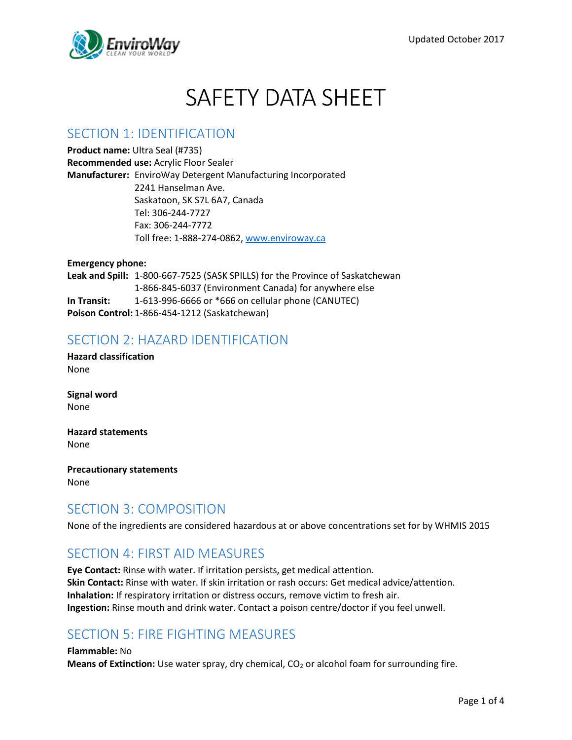

# SAFETY DATA SHEET

### SECTION 1: IDENTIFICATION

**Product name:** Ultra Seal (#735) **Recommended use:** Acrylic Floor Sealer **Manufacturer:** EnviroWay Detergent Manufacturing Incorporated 2241 Hanselman Ave. Saskatoon, SK S7L 6A7, Canada Tel: 306-244-7727 Fax: 306-244-7772 Toll free: 1-888-274-0862, [www.enviroway.ca](http://www.enviroway.ca/)

**Emergency phone: Leak and Spill:** 1-800-667-7525 (SASK SPILLS) for the Province of Saskatchewan 1-866-845-6037 (Environment Canada) for anywhere else **In Transit:** 1-613-996-6666 or \*666 on cellular phone (CANUTEC) **Poison Control:** 1-866-454-1212 (Saskatchewan)

### SECTION 2: HAZARD IDENTIFICATION

**Hazard classification** None

**Signal word** None

**Hazard statements** None

**Precautionary statements** None

### SECTION 3: COMPOSITION

None of the ingredients are considered hazardous at or above concentrations set for by WHMIS 2015

# SECTION 4: FIRST AID MEASURES

**Eye Contact:** Rinse with water. If irritation persists, get medical attention. **Skin Contact:** Rinse with water. If skin irritation or rash occurs: Get medical advice/attention. **Inhalation:** If respiratory irritation or distress occurs, remove victim to fresh air. **Ingestion:** Rinse mouth and drink water. Contact a poison centre/doctor if you feel unwell.

# SECTION 5: FIRE FIGHTING MEASURES

#### **Flammable:** No

**Means of Extinction:** Use water spray, dry chemical, CO<sub>2</sub> or alcohol foam for surrounding fire.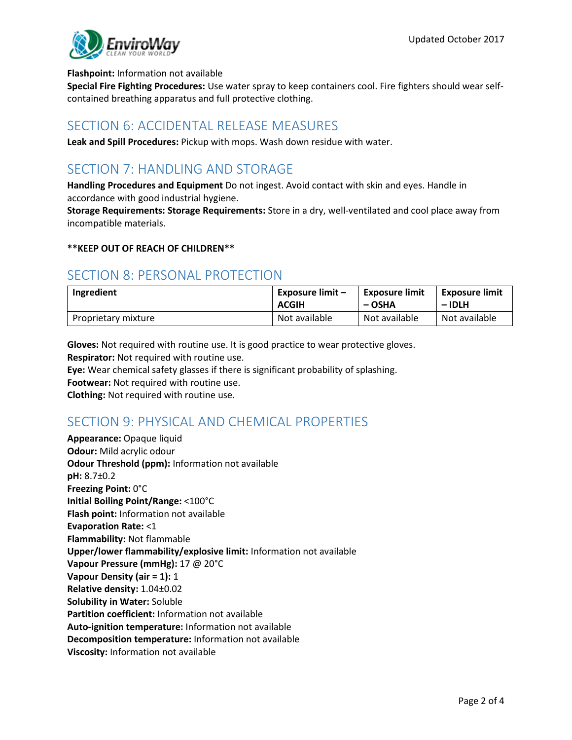

#### **Flashpoint:** Information not available

**Special Fire Fighting Procedures:** Use water spray to keep containers cool. Fire fighters should wear selfcontained breathing apparatus and full protective clothing.

#### SECTION 6: ACCIDENTAL RELEASE MEASURES

**Leak and Spill Procedures:** Pickup with mops. Wash down residue with water.

# SECTION 7: HANDLING AND STORAGE

**Handling Procedures and Equipment** Do not ingest. Avoid contact with skin and eyes. Handle in accordance with good industrial hygiene.

**Storage Requirements: Storage Requirements:** Store in a dry, well-ventilated and cool place away from incompatible materials.

#### **\*\*KEEP OUT OF REACH OF CHILDREN\*\***

#### SECTION 8: PERSONAL PROTECTION

| Ingredient          | Exposure limit $-$ | <b>Exposure limit</b> | Exposure limit |
|---------------------|--------------------|-----------------------|----------------|
|                     | <b>ACGIH</b>       | – OSHA                | $-IDLH$        |
| Proprietary mixture | Not available      | Not available         | Not available  |

**Gloves:** Not required with routine use. It is good practice to wear protective gloves. **Respirator:** Not required with routine use.

**Eye:** Wear chemical safety glasses if there is significant probability of splashing.

**Footwear:** Not required with routine use.

**Clothing:** Not required with routine use.

# SECTION 9: PHYSICAL AND CHEMICAL PROPERTIES

| Appearance: Opaque liquid                                           |
|---------------------------------------------------------------------|
| Odour: Mild acrylic odour                                           |
| Odour Threshold (ppm): Information not available                    |
| <b>pH:</b> 8.7±0.2                                                  |
| Freezing Point: 0°C                                                 |
| Initial Boiling Point/Range: <100°C                                 |
| Flash point: Information not available                              |
| <b>Evaporation Rate: &lt;1</b>                                      |
| Flammability: Not flammable                                         |
| Upper/lower flammability/explosive limit: Information not available |
| Vapour Pressure (mmHg): 17 @ 20°C                                   |
| Vapour Density (air = 1): 1                                         |
| Relative density: 1.04±0.02                                         |
| <b>Solubility in Water: Soluble</b>                                 |
| Partition coefficient: Information not available                    |
| Auto-ignition temperature: Information not available                |
| Decomposition temperature: Information not available                |
| Viscosity: Information not available                                |
|                                                                     |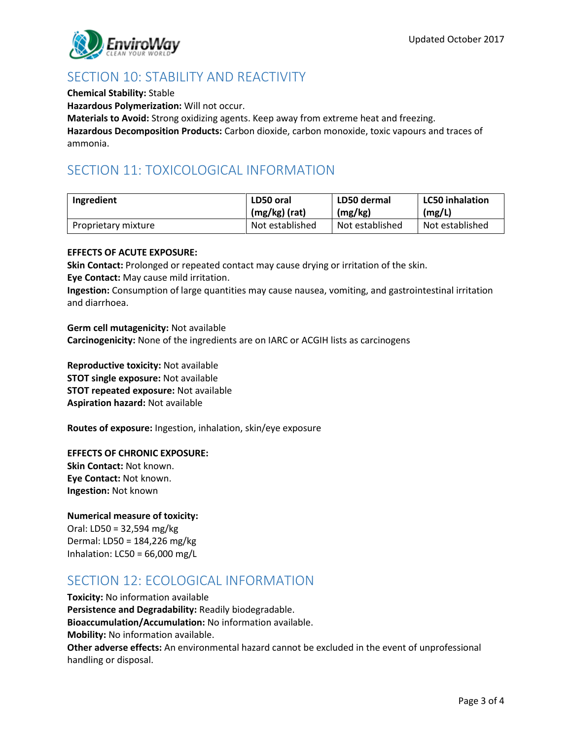

# SECTION 10: STABILITY AND REACTIVITY

**Chemical Stability:** Stable

**Hazardous Polymerization:** Will not occur.

**Materials to Avoid:** Strong oxidizing agents. Keep away from extreme heat and freezing.

**Hazardous Decomposition Products:** Carbon dioxide, carbon monoxide, toxic vapours and traces of ammonia.

# SECTION 11: TOXICOLOGICAL INFORMATION

| Ingredient          | LD50 oral       | LD50 dermal     | <b>LC50 inhalation</b> |
|---------------------|-----------------|-----------------|------------------------|
|                     | (mg/kg) (rat)   | (mg/kg)         | (mg/L)                 |
| Proprietary mixture | Not established | Not established | Not established        |

#### **EFFECTS OF ACUTE EXPOSURE:**

**Skin Contact:** Prolonged or repeated contact may cause drying or irritation of the skin. **Eye Contact:** May cause mild irritation.

**Ingestion:** Consumption of large quantities may cause nausea, vomiting, and gastrointestinal irritation and diarrhoea.

**Germ cell mutagenicity:** Not available **Carcinogenicity:** None of the ingredients are on IARC or ACGIH lists as carcinogens

**Reproductive toxicity:** Not available **STOT single exposure:** Not available **STOT repeated exposure:** Not available **Aspiration hazard:** Not available

**Routes of exposure:** Ingestion, inhalation, skin/eye exposure

**EFFECTS OF CHRONIC EXPOSURE: Skin Contact:** Not known. **Eye Contact:** Not known. **Ingestion:** Not known

**Numerical measure of toxicity:** Oral: LD50 = 32,594 mg/kg Dermal: LD50 = 184,226 mg/kg Inhalation: LC50 = 66,000 mg/L

#### SECTION 12: ECOLOGICAL INFORMATION

**Toxicity:** No information available **Persistence and Degradability:** Readily biodegradable. **Bioaccumulation/Accumulation:** No information available. **Mobility:** No information available. **Other adverse effects:** An environmental hazard cannot be excluded in the event of unprofessional handling or disposal.